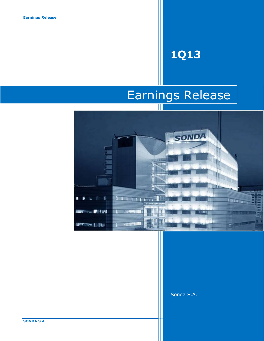# **1Q13**

# Earnings Release



Sonda S.A.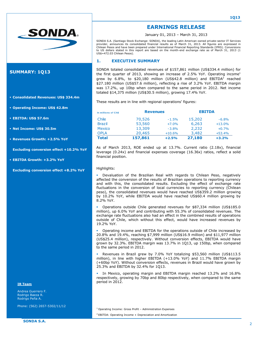

## **SUMMARY: 1Q13**

- **Consolidated Revenues: US\$ 334.4m**
- **Operating Income: US\$ 42.8m**
- **EBITDA: US\$ 57.6m**
- **Net Income: US\$ 30.5m**
- **Revenues Growth: +2.5% YoY**

**Excluding conversion effect +10.2% YoY**

**EBITDA Growth: +3.2% YoY**

**Excluding conversion effect +8.2% YoY**

### **IR Team**

Chile.

Andrea Guerrero F. Rodrigo Baeza R. Rodrigo Peña A.

Phone: (562) 2657-5302/11/12

# **EARNINGS RELEASE**

January 01, 2013 – March 31, 2013

SONDA S.A. (Santiago Stock Exchange: SONDA), the leading Latin American owned private-sector IT Services provider, announces its consolidated financial results as of March 31, 2013. All figures are expressed in Chilean Pesos and have been prepared under International Financial Reporting Standards (IFRS). Conversions to US dollars stated in this report are based on the month-end exchange rate as of March 31, 2013 (1 US\$=472.03 Chilean Pesos).

### **1. EXECUTIVE SUMMARY**

SONDA totaled consolidated revenues of \$157,861 million (US\$334.4 million) for the first quarter of 2013, showing an increase of 2.5% YoY. Operating income<sup>1</sup> grew by 6.8%, to \$20,180 million (US\$42.8 million) and EBITDA<sup>2</sup> reached \$27.180 million (US\$57.6 million), reflecting a rise of 3.2% YoY. EBITDA margin was 17.2%, up 10bp when compared to the same period in 2012. Net income totaled \$14,375 million (US\$30.5 million), growing 17.4% YoY.

These results are in line with regional operations' figures:

| In millions of Ch\$ | <b>Revenues</b> |          | <b>EBITDA</b> |          |
|---------------------|-----------------|----------|---------------|----------|
| Chile               | 70,526          | $-1.5%$  | 15,202        | $-6.8%$  |
| <b>Brazil</b>       | 53,560          | $+7.0%$  | 6,263         | $+13.0%$ |
| <b>Mexico</b>       | 13,309          | $-3.8%$  | 2,232         | $+0.7%$  |
| <b>OPLA</b>         | 20,465          | $+10.6%$ | 3,482         | $+53.4%$ |
| <b>Total</b>        | 157,861         | $+2.5%$  | 27,180        | $+3.2%$  |

As of March 2013, ROE ended up at 13.7%. Current ratio (2.18x), financial leverage (0.24x) and financial expenses coverage (16.36x) ratios, reflect a solid financial position.

### Highlights:

 Devaluation of the Brazilian Real with regards to Chilean Peso, negatively affected the conversion of the results of Brazilian operations to reporting currency and with this, the consolidated results. Excluding the effect of exchange rate fluctuations in the conversion of local currencies to reporting currency (Chilean peso), the consolidated revenues would have reached US\$359.2 million growing by 10.2% YoY, while EBITDA would have reached US\$60.4 million growing by 8.2% YoY.

 Operations outside Chile generated revenues for \$87,334 million (US\$185.0 million), up 6.0% YoY and contributing with 55.3% of consolidated revenues. The exchange rate fluctuations also had an effect in the combined results of operations outside of Chile, which without this effect, would have increased revenues by 19.2% YoY.

 Operating income and EBITDA for the operations outside of Chile increased by 20.8% and 19.4%, reaching \$7,999 million (US\$16.9 million) and \$11,977 million (US\$25.4 million), respectively. Without conversion effects, EBITDA would have grown by 32.3%. EBITDA margin was 13.7% in 1Q13, up 150bp, when compared to the same period in 2012.

 Revenues in Brazil grew by 7.0% YoY totalizing \$53,560 million (US\$113.5 million), in line with higher EBITDA (+13.0% YoY) and 11.7% EBITDA margin (+60bp YoY). Without conversion effects, revenues in Brazil would have grown by 25.3% and EBITDA by 32.4% for 1Q13.

 In Mexico, operating margin and EBITDA margin reached 13.2% and 16.8% respectively, growing by 70bp and 80bp respectively, when compared to the same period in 2012.

<sup>1</sup> Operating Income: Gross Profit – Administration Expenses

<sup>2</sup> EBITDA: Operating Income + Depreciation and Amortization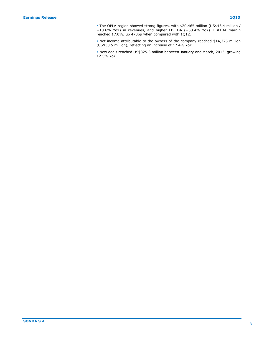The OPLA region showed strong figures, with \$20,465 million (US\$43.4 million / +10.6% YoY) in revenues, and higher EBITDA (+53.4% YoY). EBITDA margin reached 17.0%, up 470bp when compared with 1Q12.

 Net income attributable to the owners of the company reached \$14,375 million (US\$30.5 million), reflecting an increase of 17.4% YoY.

 New deals reached US\$325.3 million between January and March, 2013, growing 12.5% YoY.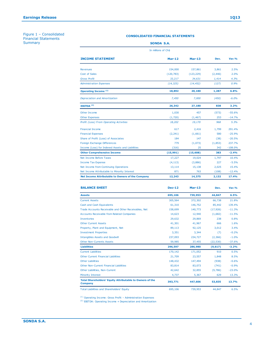Figure 1 – Consolidated Financial Statements **Summary** 

|  | <b>SONDA S.A.</b> |
|--|-------------------|
|  |                   |

| In millions of Ch\$                                     |            |            |          |           |  |  |  |
|---------------------------------------------------------|------------|------------|----------|-----------|--|--|--|
| <b>INCOME STATEMENT</b>                                 | $Mar-12$   | $Mar-13$   | Dev.     | Var.%     |  |  |  |
| <b>Revenues</b>                                         | 154,000    | 157,861    | 3,861    | 2.5%      |  |  |  |
| Cost of Sales                                           | (120, 783) | (123, 229) | (2, 446) | 2.0%      |  |  |  |
| <b>Gross Profit</b>                                     | 33,217     | 34,631     | 1,414    | 4.3%      |  |  |  |
| <b>Administration Expenses</b>                          | (14, 325)  | (14, 452)  | (127)    | 0.9%      |  |  |  |
| <b>Operating Income (1)</b>                             | 18,892     | 20,180     | 1,287    | 6.8%      |  |  |  |
| Depreciation and Amortization                           | 7,450      | 7,000      | (450)    | $-6.0%$   |  |  |  |
| EBITDA <sup>(2)</sup>                                   | 26,342     | 27,180     | 838      | 3.2%      |  |  |  |
| Other Income                                            | 1,030      | 457        | (573)    | $-55.6%$  |  |  |  |
| <b>Other Expenses</b>                                   | (1,720)    | (1, 467)   | 253      | $-14.7%$  |  |  |  |
| Profit (Loss) From Operating Activities                 | 18,202     | 19,170     | 968      | 5.3%      |  |  |  |
| <b>Financial Income</b>                                 | 617        | 2,416      | 1,799    | 291.4%    |  |  |  |
| <b>Financial Expenses</b>                               | (2,241)    | (1,661)    | 580      | $-25.9%$  |  |  |  |
| Share of Profit (Loss) of Associates                    | 184        | 147        | (38)     | $-20.5%$  |  |  |  |
| Foreign Exchange Differences                            | 779        | (1,073)    | (1,853)  | 237.7%    |  |  |  |
| Income (Loss) for Indexed Assets and Liabilities        | (316)      | 25         | 342      | $-108.0%$ |  |  |  |
| <b>Other Comprehensive Income</b>                       | (15, 991)  | (15, 608)  | 383      | $-2.4%$   |  |  |  |
| Net Income Before Taxes                                 | 17,227     | 19,024     | 1,797    | 10.4%     |  |  |  |
| <b>Income Tax Expense</b>                               | (4, 113)   | (3,886)    | 227      | $-5.5%$   |  |  |  |
| Net Income from Continuing Operations                   | 13,114     | 15,138     | 2,025    | 15.4%     |  |  |  |
| Net Income Attributable to Minority Interest            | 871        | 763        | (108)    | $-12.4%$  |  |  |  |
| <b>Net Income Attributable to Owners of the Company</b> | 12,243     | 14,375     | 2,132    | 17.4%     |  |  |  |

| <b>BALANCE SHEET</b>                                                              | <b>Dec-12</b> | $Mar-13$ | Dev.      | Var.%    |
|-----------------------------------------------------------------------------------|---------------|----------|-----------|----------|
| <b>Assets</b>                                                                     | 695,106       | 739,953  | 44,847    | 6.5%     |
| <b>Current Assets</b>                                                             | 305,564       | 372,302  | 66,738    | 21.8%    |
| Cash and Cash Equivalents                                                         | 61,310        | 146,752  | 85,442    | 139.4%   |
| Trade Accounts Receivable and Other Receivables, Net                              | 158,699       | 140.773  | (17, 926) | $-11.3%$ |
| <b>Accounts Receivable from Related Companies</b>                                 | 14,623        | 12,940   | (1,682)   | $-11.5%$ |
| Inventories                                                                       | 29.632        | 29.869   | 238       | 0.8%     |
| <b>Other Current Assets</b>                                                       | 41.301        | 41,967   | 666       | 1.6%     |
| Property, Plant and Equipment, Net                                                | 89,113        | 92,125   | 3,012     | 3.4%     |
| <b>Investment Properties</b>                                                      | 3,351         | 3,344    | (7)       | $-0.2%$  |
| <b>Intangibles Assets and Goodwill</b>                                            | 237,093       | 234,727  | (2,366)   | $-1.0%$  |
| <b>Other Non-Currents Assets</b>                                                  | 59,985        | 37,455   | (22, 530) | $-37.6%$ |
| <b>Liabilities</b>                                                                | 296,597       | 286,980  | (9,617)   | $-3.2%$  |
| <b>Current Liabilities</b>                                                        | 170,142       | 171,052  | 910       | 0.5%     |
| <b>Other Current Financial Liabilities</b>                                        | 21,709        | 23,557   | 1.848     | 8.5%     |
| <b>Other Liabilities</b>                                                          | 148,432       | 147,494  | (938)     | $-0.6%$  |
| <b>Other Non-Current Financial Liabilities</b>                                    | 83.814        | 83.073   | (741)     | $-0.9%$  |
| Other Liabilities, Non-Current                                                    | 42.642        | 32,855   | (9,786)   | $-23.0%$ |
| <b>Minority Interest</b>                                                          | 4,737         | 5,367    | 629       | 13.3%    |
| <b>Total Shareholders' Equity Attributable to Owners of the</b><br><b>Company</b> | 393,771       | 447,606  | 53,835    | 13.7%    |
| <b>Total Liabilities and Shareholders' Equity</b>                                 | 695,106       | 739,953  | 44.847    | 6.5%     |
| <sup>(1)</sup> Operating Income: Gross Profit - Administration Expenses           |               |          |           |          |

(2) Total Liabilities and Shareholders' Equity<br>(1) Operating Income: Gross Profit – Administration Expenses<br>(2) EBITDA: Operating Income + Depreciation and Amortization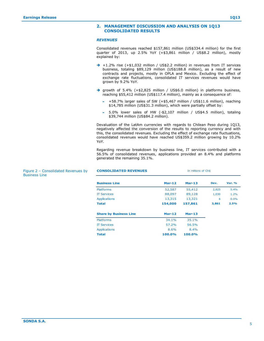### **2. MANAGEMENT DISCUSSION AND ANALYSIS ON 1Q13 CONSOLIDATED RESULTS**

### *REVENUES*

Consolidated revenues reached \$157,861 million (US\$334.4 million) for the first quarter of 2013, up 2.5% YoY (+\$3,861 million / US\$8.2 million), mostly explained by:

- $\rightarrow$  +1.2% rise (+\$1,032 million / US\$2.2 million) in revenues from IT services business, totaling \$89,129 million (US\$188.8 million), as a result of new contracts and projects, mostly in OPLA and Mexico. Excluding the effect of exchange rate fluctuations, consolidated IT services revenues would have grown by 9.2% YoY.
- growth of 5.4% (+\$2,825 million / US\$6.0 million) in platforms business, reaching \$55,412 million (US\$117.4 million), mainly as a consequence of:
	- +58.7% larger sales of SW (+\$5,467 million / US\$11.6 million), reaching \$14,785 million (US\$31.3 million), which were partially offset by:
	- 5.0% lower sales of HW (-\$2,107 million / US\$4.5 million), totaling \$39,744 million (US\$84.2 million).

Devaluation of the LatAm currencies with regards to Chilean Peso during 1Q13, negatively affected the conversion of the results to reporting currency and with this, the consolidated revenues. Excluding the effect of exchange rate fluctuations, consolidated revenues would have reached US\$359.2 million growing by 10.2% YoY.

Regarding revenue breakdown by business line, IT services contributed with a 56.5% of consolidated revenues, applications provided an 8.4% and platforms generated the remaining 35.1%.

| <b>CONSOLIDATED REVENUES</b>  | In millions of Ch\$ |          |       |               |  |  |
|-------------------------------|---------------------|----------|-------|---------------|--|--|
| <b>Business Line</b>          | $Mar-12$            | $Mar-13$ | Dev.  | <b>Var. %</b> |  |  |
| <b>Platforms</b>              | 52,587              | 55,412   | 2,825 | 5.4%          |  |  |
| <b>IT Services</b>            | 88,097              | 89,128   | 1,030 | 1.2%          |  |  |
| <b>Applications</b>           | 13,315              | 13,321   | 6     | 0.0%          |  |  |
| Total                         | 154,000             | 157,861  | 3,861 | 2.5%          |  |  |
| <b>Share by Business Line</b> | $Mar-12$            | $Mar-13$ |       |               |  |  |
| <b>Platforms</b>              | 34.1%               | 35.1%    |       |               |  |  |
| <b>IT Services</b>            | 57.2%               | 56.5%    |       |               |  |  |
| <b>Applications</b>           | 8.6%                | 8.4%     |       |               |  |  |
| <b>Total</b>                  | 100.0%              | 100.0%   |       |               |  |  |

### Figure 2 – Consolidated Revenues by Business Line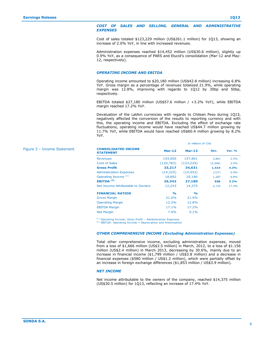Figure 3 – Income Statement

### *COST OF SALES AND SELLING, GENERAL AND ADMINISTRATIVE EXPENSES*

Cost of sales totaled \$123,229 million (US\$261.1 million) for 1Q13, showing an increase of 2.0% YoY, in line with increased revenues.

Administration expenses reached \$14,452 million (US\$30.6 million), slightly up 0.9% YoY, as a consequence of PARS and Elucid's consolidation (Mar-12 and May-12, respectively).

### *OPERATING INCOME AND EBITDA*

Operating income amounted to \$20,180 million (US\$42.8 million) increasing 6.8% YoY. Gross margin as a percentage of revenues totalized 21.9%, while operating margin was 12.8%, improving with regards to 1Q12 by 30bp and 50bp, respectively.

EBITDA totaled \$27,180 million (US\$57.6 million / +3.2% YoY), while EBITDA margin reached 17.2% YoY.

Devaluation of the LatAm currencies with regards to Chilean Peso during 1Q13, negatively affected the conversion of the results to reporting currency and with this, the operating income and EBITDA. Excluding the effect of exchange rate fluctuations, operating income would have reached US\$44.7 million growing by 11.7% YoY, while EBITDA would have reached US\$60.4 million growing by 8.2% YoY.

In millions of Ch\$

| <b>CONSOLIDATED INCOME</b><br><b>STATEMENT</b> | <b>Mar-12</b> | $Mar-13$           | Dev.     | <b>Var. %</b> |
|------------------------------------------------|---------------|--------------------|----------|---------------|
| <b>Revenues</b>                                | 154,000       | 157,861            | 3,861    | 2.5%          |
| Cost of Sales                                  | (120, 783)    | (123, 229)         | (2, 446) | 2.0%          |
| <b>Gross Profit</b>                            | 33,217        | 34,631             | 1,414    | 4.3%          |
| <b>Administration Expenses</b>                 | (14, 325)     | (14, 452)          | (127)    | 0.9%          |
| Operating Income <sup>(1)</sup>                | 18,892        | 20,180             | 1,287    | 6.8%          |
| EBITDA <sup>(2)</sup>                          | 26,342        | 27,180             | 838      | 3.2%          |
| Net Income Attributable to Owners              | 12,243        | 14,375             | 2,132    | 17.4%         |
| <b>FINANCIAL RATIOS</b>                        | $\frac{1}{2}$ | $\frac{0}{\alpha}$ |          |               |
| <b>Gross Margin</b>                            | 21.6%         | 21.9%              |          |               |
| <b>Operating Margin</b>                        | 12.3%         | 12.8%              |          |               |
| <b>EBITDA Margin</b>                           | 17.1%         | 17.2%              |          |               |
| <b>Net Margin</b>                              | 7.9%          | 9.1%               |          |               |

### *OTHER COMPREHENSIVE INCOME (Excluding Administration Expenses)*

Total other comprehensive income, excluding administration expenses, moved from a loss of \$1,666 million (US\$3.5 million) in March, 2012, to a loss of \$1.156 million (US\$2.4 million) in March 2013, decreasing by 30.6%, mainly due to an increase in financial income (\$1,799 million / US\$3.8 million) and a decrease in financial expenses (\$580 million / US\$1.2 million), which were partially offset by an increase in foreign exchange differences (\$1,853 million / US\$3.9 million).

### *NET INCOME*

Net income attributable to the owners of the company, reached \$14,375 million (US\$30.5 million) for 1Q13, reflecting an increase of 17.4% YoY.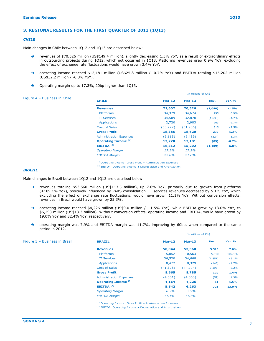### **3. REGIONAL RESULTS FOR THE FIRST QUARTER OF 2013 (1Q13)**

### *CHILE*

Main changes in Chile between 1Q12 and 1Q13 are described below:

- → revenues of \$70,526 million (US\$149.4 million), slightly decreasing 1.5% YoY, as a result of extraordinary effects in outsourcing projects during 1Q12, which not occurred in 1Q13. Platforms revenues grew 0.9% YoY, excluding the effect of exchange rate fluctuations would have grown 3.4% YoY.
- → operating income reached \$12,181 million (US\$25.8 million / -0.7% YoY) and EBITDA totaling \$15,202 million (US\$32.2 million / -6.8% YoY).
- → Operating margin up to 17.3%, 20bp higher than 1Q13.

|                              |                                        | In millions of Ch\$ |          |          |               |  |
|------------------------------|----------------------------------------|---------------------|----------|----------|---------------|--|
| Figure 4 - Business in Chile | <b>CHILE</b>                           | $Mar-12$            | $Mar-13$ | Dev.     | <b>Var. %</b> |  |
|                              | <b>Revenues</b>                        | 71,607              | 70,526   | (1,080)  | $-1.5%$       |  |
|                              | <b>Platforms</b>                       | 34,379              | 34,674   | 295      | 0.9%          |  |
|                              | <b>IT Services</b>                     | 34,509              | 32,870   | (1,638)  | $-4.7%$       |  |
|                              | <b>Applications</b>                    | 2,720               | 2,983    | 263      | 9.7%          |  |
|                              | <b>Cost of Sales</b>                   | (53, 222)           | (51,906) | 1,315    | $-2.5%$       |  |
|                              | <b>Gross Profit</b>                    | 18,385              | 18,620   | 235      | 1.3%          |  |
|                              | <b>Administration Expenses</b>         | (6, 115)            | (6, 439) | (324)    | 5.3%          |  |
|                              | <b>Operating Income</b> <sup>(1)</sup> | 12,270              | 12,181   | (89)     | $-0.7%$       |  |
|                              | EBITDA <sup>(2)</sup>                  | 16,312              | 15,202   | (1, 109) | $-6.8%$       |  |
|                              | <b>Operating Margin</b>                | 17.1%               | 17.3%    |          |               |  |
|                              | <b>EBITDA Margin</b>                   | 22.8%               | 21.6%    |          |               |  |

<sup>(1)</sup> Operating Income: Gross Profit - Administration Expenses <sup>(2)</sup> EBITDA: Operating Income + Depreciation and Amortization

### *BRAZIL*

Main changes in Brazil between 1Q12 and 1Q13 are described below:

- → revenues totaling \$53,560 million (US\$113.5 million), up 7.0% YoY, primarily due to growth from platforms (+109.1% YoY), positively influenced by PARS consolidation. IT services revenues decreased by 5.1% YoY, which excluding the effect of exchange rate fluctuations, would have grown 11.1% YoY. Without conversion effects, revenues in Brazil would have grown by 25.3%.
- operating income reached \$4,226 million (US\$9.0 million / +1.5% YoY), while EBITDA grew by 13.0% YoY, to \$6,293 million (US\$13.3 million). Without conversion effects, operating income and EBITDA, would have grown by 19.0% YoY and 32.4% YoY, respectively.
- $\rightarrow$  operating margin was 7.9% and EBITDA margin was 11.7%, improving by 60bp, when compared to the same period in 2012.

In millions of Ch\$

| Figure 5 - Business in Brazil | <b>BRAZIL</b>                  | $Mar-12$ | $Mar-13$  | Dev.     | <b>Var. %</b> |
|-------------------------------|--------------------------------|----------|-----------|----------|---------------|
|                               | <b>Revenues</b>                | 50,044   | 53,560    | 3,516    | 7.0%          |
|                               | <b>Platforms</b>               | 5,052    | 10,563    | 5,510    | 109.1%        |
|                               | <b>IT Services</b>             | 36,520   | 34,668    | (1,851)  | $-5.1%$       |
|                               | <b>Applications</b>            | 8,472    | 8,329     | (143)    | $-1.7%$       |
|                               | <b>Cost of Sales</b>           | (41,378) | (44, 774) | (3, 396) | 8.2%          |
|                               | <b>Gross Profit</b>            | 8,665    | 8,785     | 120      | 1.4%          |
|                               | <b>Administration Expenses</b> | (4,501)  | (4,560)   | (59)     | 1.3%          |
|                               | <b>Operating Income (1)</b>    | 4,164    | 4,226     | 61       | 1.5%          |
|                               | EBITDA $(2)$                   | 5,542    | 6,263     | 721      | 13.0%         |
|                               | <b>Operating Margin</b>        | 8.3%     | $7.9\%$   |          |               |
|                               | <b>EBITDA Margin</b>           | 11.1%    | 11.7%     |          |               |

 $(1)$  Operating Income: Gross Profit – Administration Expenses

<sup>(2)</sup> EBITDA: Operating Income + Depreciation and Amortization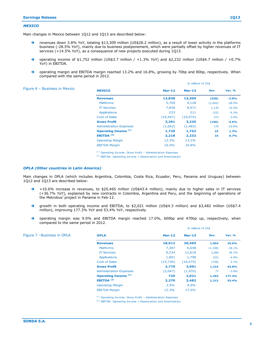In millions of Ch\$

In millions of Ch\$

### *MEXICO*

Main changes in Mexico between 1Q12 and 1Q13 are described below:

- revenues down 3.8% YoY, totaling \$13,309 million (US\$28.2 million), as a result of lower activity in the platforms business (-28.5% YoY), mainly due to business postponement, which were partially offset by higher revenues of IT services (+14.5% YoY), as a consequence of new projects executed during 1Q13.
- $\rightarrow$  operating income of \$1,752 million (US\$3.7 million / +1.3% YoY) and \$2,232 million (US\$4.7 million / +0.7% YoY) in EBITDA.
- → operating margin and EBITDA margin reached 13.2% and 16.8%, growing by 70bp and 80bp, respectively. When compared with the same period in 2012.

| Figure 6 - Business in Mexico | <b>MEXICO</b>                  | $Mar-12$  | $Mar-13$  | Dev.    | <b>Var. %</b> |
|-------------------------------|--------------------------------|-----------|-----------|---------|---------------|
|                               | <b>Revenues</b>                | 13,838    | 13,309    | (528)   | $-3.8%$       |
|                               | <b>Platforms</b>               | 5,769     | 4,128     | (1,642) | $-28.5%$      |
|                               | <b>IT Services</b>             | 7,836     | 8,971     | 1,135   | 14.5%         |
|                               | <b>Applications</b>            | 233       | 211       | (22)    | $-9.3%$       |
|                               | <b>Cost of Sales</b>           | (10, 447) | (10, 074) | 373     | $-3.6%$       |
|                               | <b>Gross Profit</b>            | 3,391     | 3,235     | (156)   | $-4.6%$       |
|                               | <b>Administration Expenses</b> | (1,662)   | (1,483)   | 179     | $-10.8%$      |
|                               | <b>Operating Income (1)</b>    | 1,729     | 1,752     | 23      | 1.3%          |
|                               | EBITDA $(2)$                   | 2,218     | 2,232     | 15      | 0.7%          |
|                               | <b>Operating Margin</b>        | 12.5%     | 13.2%     |         |               |
|                               | <b>EBITDA Margin</b>           | 16.0%     | 16.8%     |         |               |
|                               |                                |           |           |         |               |

 $(1)$  Operating Income: Gross Profit – Administration Expenses

<sup>(2)</sup> EBITDA: Operating Income + Depreciation and Amortization

### *OPLA (Other countries in Latin America)*

Main changes in OPLA (which includes Argentina, Colombia, Costa Rica, Ecuador, Peru, Panama and Uruguay) between 1Q12 and 1Q13 are described below:

- $\rightarrow$  +10.6% increase in revenues, to \$20,465 million (US\$43.4 million), mainly due to higher sales in IT services (+36.7% YoY), explained by new contracts in Colombia, Argentina and Peru, and the beginning of operations of the Metrobus' project in Panama in Feb-12.
- growth in both operating income and EBITDA, to \$2,021 million (US\$4.3 million) and \$3,482 million (US\$7.4 million), improving 177.3% YoY and 53.4% YoY, respectively.
- → operating margin was 9.9% and EBITDA margin reached 17.0%, 600bp and 470bp up, respectively, when compared to the same period in 2012.

| Figure 7 -Business in OPLA | <b>OPLA</b>                                                                                                                       | $Mar-12$ | $Mar-13$  | Dev.     | <b>Var. %</b> |
|----------------------------|-----------------------------------------------------------------------------------------------------------------------------------|----------|-----------|----------|---------------|
|                            | <b>Revenues</b>                                                                                                                   | 18,512   | 20,465    | 1,954    | 10.6%         |
|                            | <b>Platforms</b>                                                                                                                  | 7,387    | 6,048     | (1, 338) | $-18.1%$      |
|                            | <b>IT Services</b>                                                                                                                | 9,234    | 12,618    | 3,385    | 36.7%         |
|                            | <b>Applications</b>                                                                                                               | 1,891    | 1,798     | (93)     | $-4.9%$       |
|                            | <b>Cost of Sales</b>                                                                                                              | (15,736) | (16, 475) | (738)    | 4.7%          |
|                            | <b>Gross Profit</b>                                                                                                               | 2,775    | 3,991     | 1,215    | 43.8%         |
|                            | <b>Administration Expenses</b>                                                                                                    | (2,047)  | (1,970)   | 77       | $-3.8%$       |
|                            | <b>Operating Income (1)</b>                                                                                                       | 729      | 2,021     | 1,292    | 177.3%        |
|                            | EBITDA $(2)$                                                                                                                      | 2,270    | 3,482     | 1,212    | 53.4%         |
|                            | <b>Operating Margin</b>                                                                                                           | 3.9%     | $9.9\%$   |          |               |
|                            | <b>EBITDA Margin</b>                                                                                                              | 12.3%    | 17.0%     |          |               |
|                            | $(1)$ $\alpha$ is in the state $\alpha$ in the $\alpha$ of $\alpha$ is $\alpha$ in the state of $\alpha$ is the state of $\alpha$ |          |           |          |               |

<sup>(1)</sup> Operating Income: Gross Profit - Administration Expenses

<sup>(2)</sup> EBITDA: Operating Income + Depreciation and Amortization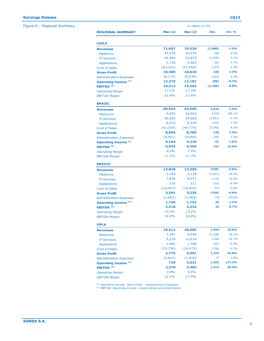Figure 8 – Regional Summary

| In millions of Ch\$ |                                                                                               |                                                                                                |                                                                           |  |  |
|---------------------|-----------------------------------------------------------------------------------------------|------------------------------------------------------------------------------------------------|---------------------------------------------------------------------------|--|--|
| $Mar-12$            | $Mar-13$                                                                                      | Dev.                                                                                           | <b>Var. %</b>                                                             |  |  |
|                     |                                                                                               |                                                                                                |                                                                           |  |  |
| 71,607              | 70,526                                                                                        | (1,080)                                                                                        | $-1.5%$                                                                   |  |  |
| 34,379              | 34,674                                                                                        | 295                                                                                            | 0.9%                                                                      |  |  |
| 34,509              | 32,870                                                                                        | (1,638)                                                                                        | $-4.7%$                                                                   |  |  |
| 2,720               | 2,983                                                                                         | 263                                                                                            | 9.7%                                                                      |  |  |
| (53, 222)           | (51, 906)                                                                                     | 1,315                                                                                          | $-2.5%$                                                                   |  |  |
| 18,385              | 18,620                                                                                        | 235                                                                                            | 1.3%                                                                      |  |  |
| (6, 115)            | (6, 439)                                                                                      | (324)                                                                                          | 5.3%                                                                      |  |  |
| 12,270              | 12,181                                                                                        | (89)                                                                                           | $-0.7%$                                                                   |  |  |
| 16,312              | 15,202                                                                                        | (1, 109)                                                                                       | $-6.8%$                                                                   |  |  |
| 17.1%               | 17.3%                                                                                         |                                                                                                |                                                                           |  |  |
| 22.8%               | 21.6%                                                                                         |                                                                                                |                                                                           |  |  |
|                     |                                                                                               |                                                                                                |                                                                           |  |  |
|                     |                                                                                               |                                                                                                | 7.0%                                                                      |  |  |
|                     |                                                                                               |                                                                                                | 109.1%                                                                    |  |  |
|                     |                                                                                               |                                                                                                | $-5.1%$                                                                   |  |  |
|                     |                                                                                               |                                                                                                | $-1.7%$                                                                   |  |  |
|                     |                                                                                               |                                                                                                | 8.2%                                                                      |  |  |
|                     |                                                                                               |                                                                                                | 1.4%                                                                      |  |  |
|                     |                                                                                               |                                                                                                | 1.3%                                                                      |  |  |
|                     |                                                                                               |                                                                                                | 1.5%                                                                      |  |  |
|                     |                                                                                               |                                                                                                | 13.0%                                                                     |  |  |
|                     |                                                                                               |                                                                                                |                                                                           |  |  |
| 11.1%               | 11.7%                                                                                         |                                                                                                |                                                                           |  |  |
|                     |                                                                                               |                                                                                                |                                                                           |  |  |
| 13,838              | 13,309                                                                                        | (528)                                                                                          | $-3.8%$                                                                   |  |  |
| 5,769               | 4,128                                                                                         | (1,642)                                                                                        | $-28.5%$                                                                  |  |  |
| 7,836               | 8,971                                                                                         | 1,135                                                                                          | 14.5%                                                                     |  |  |
| 233                 | 211                                                                                           | (22)                                                                                           | $-9.3%$                                                                   |  |  |
| (10, 447)           | (10, 074)                                                                                     | 373                                                                                            | $-3.6%$                                                                   |  |  |
| 3,391               | 3,235                                                                                         | (156)                                                                                          | $-4.6%$                                                                   |  |  |
| (1,662)             | (1, 483)                                                                                      | 179                                                                                            | $-10.8%$                                                                  |  |  |
| 1,729               | 1,752                                                                                         | 23                                                                                             | 1.3%                                                                      |  |  |
| 2,218               | 2,232                                                                                         | 15                                                                                             | 0.7%                                                                      |  |  |
| 12.5%               | 13.2%                                                                                         |                                                                                                |                                                                           |  |  |
| 16.0%               | 16.8%                                                                                         |                                                                                                |                                                                           |  |  |
|                     |                                                                                               |                                                                                                |                                                                           |  |  |
| 18,512              | 20,465                                                                                        | 1,954                                                                                          | 10.6%                                                                     |  |  |
| 7,387               | 6,048                                                                                         | (1, 338)                                                                                       | $-18.1%$                                                                  |  |  |
| 9,234               | 12,618                                                                                        | 3,385                                                                                          | 36.7%                                                                     |  |  |
| 1,891               | 1,798                                                                                         | (93)                                                                                           | $-4.9%$                                                                   |  |  |
| (15, 736)           | (16, 475)                                                                                     | (738)                                                                                          | 4.7%                                                                      |  |  |
| 2,775               | 3,991                                                                                         | 1,215                                                                                          | 43.8%                                                                     |  |  |
| (2,047)             | (1,970)                                                                                       | 77                                                                                             | $-3.8%$                                                                   |  |  |
| 729                 | 2,021                                                                                         | 1,292                                                                                          | 177.3%                                                                    |  |  |
|                     |                                                                                               |                                                                                                | 53.4%                                                                     |  |  |
| 2,270               | 3,482                                                                                         | 1,212                                                                                          |                                                                           |  |  |
| 3.9%                | 9.9%                                                                                          |                                                                                                |                                                                           |  |  |
|                     | 50,044<br>5,052<br>36,520<br>8,472<br>(41, 378)<br>8,665<br>(4,501)<br>4,164<br>5,542<br>8.3% | 53,560<br>10,563<br>34,668<br>8,329<br>(44, 774)<br>8,785<br>(4,560)<br>4,226<br>6,263<br>7.9% | 3,516<br>5,510<br>(1,851)<br>(143)<br>(3,396)<br>120<br>(59)<br>61<br>721 |  |  |

(2 ) EBITDA Margin<br>(1) Operating Income: Gross Profit – Administration Expenses<br>(2) EBITDA: Operating Income + Depreciation and Amortization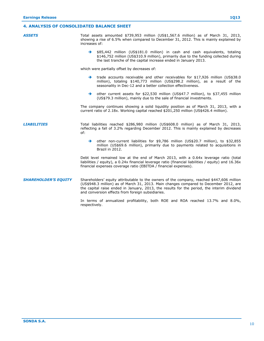## **4. ANALYSIS OF CONSOLIDATED BALANCE SHEET**

*ASSETS* Total assets amounted \$739,953 million (US\$1,567.6 million) as of March 31, 2013, showing a rise of 6.5% when compared to December 31, 2012. This is mainly explained by increases of:  $\rightarrow$  \$85,442 million (US\$181.0 million) in cash and cash equivalents, totaling \$146,752 million (US\$310.9 million), primarily due to the funding collected during the last tranche of the capital increase ended in January 2013.

which were partially offset by decreases of:

- $\rightarrow$  trade accounts receivable and other receivables for \$17,926 million (US\$38.0) million), totaling \$140,773 million (US\$298.2 million), as a result of the seasonality in Dec-12 and a better collection effectiveness.
- $\rightarrow$  other current assets for \$22,530 million (US\$47.7 million), to \$37,455 million (US\$79.3 million), mainly due to the sale of financial investments.

The company continues showing a solid liquidity position as of March 31, 2013, with a current ratio of 2.18x. Working capital reached \$201,250 million (US\$426.4 million).

### *LIABILITIES* Total liabilities reached \$286,980 million (US\$608.0 million) as of March 31, 2013, reflecting a fall of 3.2% regarding December 2012. This is mainly explained by decreases of:

 other non-current liabilities for \$9,786 million (US\$20.7 million), to \$32,855 million (US\$69.6 million), primarily due to payments related to acquisitions in Brazil in 2012.

Debt level remained low at the end of March 2013, with a 0.64x leverage ratio (total liabilities / equity), a 0.24x financial leverage ratio (financial liabilities / equity) and 16.36x financial expenses coverage ratio (EBITDA / financial expenses).

### *SHAREHOLDER'S EQUITY* Shareholders' equity attributable to the owners of the company, reached \$447,606 million (US\$948.3 million) as of March 31, 2013. Main changes compared to December 2012, are the capital raise ended in January, 2013, the results for the period, the interim dividend and conversion effects from foreign subsidiaries.

In terms of annualized profitability, both ROE and ROA reached 13.7% and 8.0%, respectively.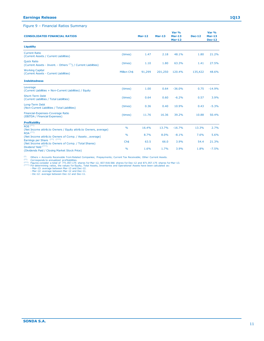### **Earnings Release 1Q13**

### Figure 9 – Financial Ratios Summary

| <b>CONSOLIDATED FINANCIAL RATIOS</b>                                                                                                                                                                                                                                                                                                                                                                                                                                                                                                                                                                                |               | $Mar-12$ | <b>Mar-13</b> | Var %<br>$Mar-13$<br><b>Mar-12</b> | <b>Dec-12</b> | Var %<br>Mar-13<br><b>Dec-12</b> |
|---------------------------------------------------------------------------------------------------------------------------------------------------------------------------------------------------------------------------------------------------------------------------------------------------------------------------------------------------------------------------------------------------------------------------------------------------------------------------------------------------------------------------------------------------------------------------------------------------------------------|---------------|----------|---------------|------------------------------------|---------------|----------------------------------|
| Liquidity                                                                                                                                                                                                                                                                                                                                                                                                                                                                                                                                                                                                           |               |          |               |                                    |               |                                  |
| <b>Current Ratio</b><br>(Current Assets / Current Liabilities)                                                                                                                                                                                                                                                                                                                                                                                                                                                                                                                                                      | (times)       | 1.47     | 2.18          | 48.1%                              | 1.80          | 21.2%                            |
| <b>Quick Ratio</b><br>(Current Assets - Invent. - Others <sup>(*)</sup> ) / Current Liabilities)                                                                                                                                                                                                                                                                                                                                                                                                                                                                                                                    | (times)       | 1.10     | 1.80          | 63.3%                              | 1.41          | 27.5%                            |
| <b>Working Capital</b><br>(Current Assets - Current Liabilities)                                                                                                                                                                                                                                                                                                                                                                                                                                                                                                                                                    | Million Ch\$  | 91,299   | 201,250       | 120.4%                             | 135,422       | 48.6%                            |
| <b>Indebtedness</b>                                                                                                                                                                                                                                                                                                                                                                                                                                                                                                                                                                                                 |               |          |               |                                    |               |                                  |
| Leverage<br>(Current Liabilities + Non-Current Liabilities) / Equity                                                                                                                                                                                                                                                                                                                                                                                                                                                                                                                                                | (times)       | 1.00     | 0.64          | $-36.0%$                           | 0.75          | $-14.9%$                         |
| Short-Term Debt<br>(Current Liabilities / Total Liabilities)                                                                                                                                                                                                                                                                                                                                                                                                                                                                                                                                                        | (times)       | 0.64     | 0.60          | $-6.2%$                            | 0.57          | 3.9%                             |
| Long-Term Debt<br>(Non-Current Liabilities / Total Liabilities)                                                                                                                                                                                                                                                                                                                                                                                                                                                                                                                                                     | (times)       | 0.36     | 0.40          | 10.9%                              | 0.43          | $-5.3%$                          |
| Financial-Expenses-Coverage Ratio<br>(EBITDA / Financial Expenses)                                                                                                                                                                                                                                                                                                                                                                                                                                                                                                                                                  | (times)       | 11.76    | 16.36         | 39.2%                              | 10.88         | 50.4%                            |
| Profitability                                                                                                                                                                                                                                                                                                                                                                                                                                                                                                                                                                                                       |               |          |               |                                    |               |                                  |
| $ROE$ <sup>(**)</sup><br>(Net Income attrib.to Owners / Equity attrib.to Owners, average)                                                                                                                                                                                                                                                                                                                                                                                                                                                                                                                           | $\frac{0}{0}$ | 16.4%    | 13.7%         | $-16.7%$                           | 13.3%         | 2.7%                             |
| $ROA$ <sup>(**)</sup><br>(Net Income attrib.to Owners of Comp. / Assets, average)                                                                                                                                                                                                                                                                                                                                                                                                                                                                                                                                   | $\frac{9}{6}$ | 8.7%     | 8.0%          | $-8.1%$                            | 7.6%          | 5.6%                             |
| Earnings per Share <sup>(**)</sup> <sup>(***)</sup><br>(Net Income attrib.to Owners of Comp. / Total Shares)                                                                                                                                                                                                                                                                                                                                                                                                                                                                                                        | Ch\$          | 63.5     | 66.0          | 3.9%                               | 54.4          | 21.3%                            |
| Dividend Yield <sup>(***)</sup><br>(Dividends Paid / Closing Market Stock Price)                                                                                                                                                                                                                                                                                                                                                                                                                                                                                                                                    | $\%$          | 1.6%     | 1.7%          | 3.9%                               | 1.8%          | $-7.5%$                          |
| $(*)$<br>Others = Accounts Receivable from Related Companies; Prepayments; Current Tax Receivable; Other Current Assets.<br>$(**)$<br>Corresponds to annualized profitabilities.<br><sup>(***)</sup> Figures consider a total of 771.057.175 shares for Mar-12, 837.918.566 shares for Dec-12 and 871.057.175 shares for Mar-13.<br>(****) For determining ratios, the values for Equity, Total Assets, Inventories and Operational Assets have been calculated as:<br>- Mar-13: average between Mar-13 and Dec-12.<br>- Mar-12: average between Mar-12 and Dec-11.<br>- Dic-12: average between Dec-12 and Dec-11. |               |          |               |                                    |               |                                  |